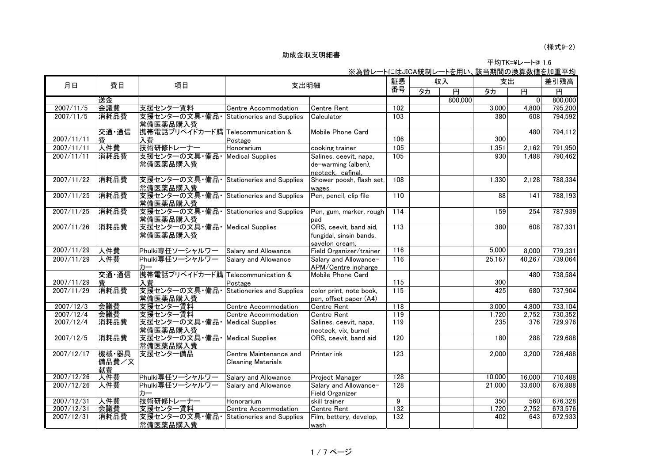1.6 平均TK=¥レート@

|            |                      |                                            |                                                     | <u>※為替レートにはJICA統制レートを用い、該当期間の換算数値を加重平均</u>                          |                   |    |         |        |                |         |
|------------|----------------------|--------------------------------------------|-----------------------------------------------------|---------------------------------------------------------------------|-------------------|----|---------|--------|----------------|---------|
| 月日         | 費目                   | 項目                                         | 支出明細                                                |                                                                     | 証憑                | 収入 |         | 支出     |                | 差引残高    |
|            |                      |                                            |                                                     |                                                                     | 番号                | タカ | 再       | タカ     | 再              | 再       |
|            | 送金                   |                                            |                                                     |                                                                     |                   |    | 800,000 |        | $\overline{0}$ | 800,000 |
| 2007/11/5  | 会議費                  | 支援センター賃料                                   | Centre Accommodation                                | <b>Centre Rent</b>                                                  | 102               |    |         | 3,000  | 4,800          | 795,200 |
| 2007/11/5  | 消耗品費                 | 支援センターの文具・備品・<br>常備医薬品購入費                  | Stationeries and Supplies                           | Calculator                                                          | 103               |    |         | 380    | 608            | 794,592 |
| 2007/11/11 | 交通·通信<br>書           | 携帯電話プリペイドカード購 Telecommunication &<br>入費    | Postage                                             | Mobile Phone Card                                                   | 106               |    |         | 300    | 480            | 794,112 |
| 2007/11/11 | 人件費                  | 技術研修トレーナー                                  | Honorarium                                          | cooking trainer                                                     | $\frac{105}{105}$ |    |         | 1,351  | 2,162          | 791,950 |
| 2007/11/11 | 消耗品費                 | 支援センターの文具・備品<br>常備医薬品購入費                   | <b>Medical Supplies</b>                             | Salines, ceevit, napa,<br>de-warming (alben),<br>neoteck, cafinal,  | 105               |    |         | 930    | 1,488          | 790,462 |
| 2007/11/22 | 消耗品費                 | 支援センターの文具・備品・<br>常備医薬品購入費                  | Stationeries and Supplies                           | Shower poosh, flash set,<br>wages                                   | 108               |    |         | 1,330  | 2,128          | 788,334 |
| 2007/11/25 | 消耗品費                 | 支援センターの文具・備品・<br>常備医薬品購入費                  | <b>Stationeries and Supplies</b>                    | Pen, pencil, clip file                                              | 110               |    |         | 88     | 141            | 788,193 |
| 2007/11/25 | 消耗品費                 | 支援センターの文具・備品<br>常備医薬品購入費                   | Stationeries and Supplies                           | Pen, gum, marker, rough<br>pad                                      | $\frac{114}{x}$   |    |         | 159    | 254            | 787,939 |
| 2007/11/26 | 消耗品費                 | 支援センターの文具·備品· Medical Supplies<br>常備医薬品購入費 |                                                     | ORS, ceevit, band aid,<br>fungidal, sinsin bands,<br>savelon cream, | 113               |    |         | 380    | 608            | 787,331 |
| 2007/11/29 | 人件費                  | Phulki専任ソーシャルワー                            | Salary and Allowance                                | Field Organizer/trainer                                             | 116               |    |         | 5,000  | 8,000          | 779,331 |
| 2007/11/29 | 人件費                  | Phulki専任ソーシャルワー<br>カー                      | Salary and Allowance                                | Salary and Allowance-<br>APM/Centre incharge                        | 116               |    |         | 25,167 | 40,267         | 739,064 |
| 2007/11/29 | 交通·通信<br>費           | 携帯電話プリペイドカード購 Telecommunication &<br>入費    | Postage                                             | Mobile Phone Card                                                   | 115               |    |         | 300    | 480            | 738,584 |
| 2007/11/29 | 消耗品費                 | 支援センターの文具・備品・<br>常備医薬品購入費                  | Stationeries and Supplies                           | color print, note book,<br>pen. offset paper (A4)                   | 115               |    |         | 425    | 680            | 737,904 |
| 2007/12/3  | 会議費                  | 支援センター賃料                                   | Centre Accommodation                                | <b>Centre Rent</b>                                                  | $\overline{118}$  |    |         | 3,000  | 4,800          | 733,104 |
| 2007/12/4  | 会議費                  | 支援センター賃料                                   | Centre Accommodation                                | <b>Centre Rent</b>                                                  | 119               |    |         | 1,720  | 2,752          | 730,352 |
| 2007/12/4  | 消耗品費                 | 支援センターの文具・備品<br>常備医薬品購入費                   | <b>Medical Supplies</b>                             | Salines, ceevit, napa,<br>neoteck, vix, burnel                      | 119               |    |         | 235    | 376            | 729,976 |
| 2007/12/5  | 消耗品費                 | 支援センターの文具・備品・Medical Supplies<br>常備医薬品購入費  |                                                     | ORS, ceevit, band aid                                               | 120               |    |         | 180    | 288            | 729,688 |
| 2007/12/17 | 機械·器具<br>備品費/文<br>献費 | 支援センター備品                                   | Centre Maintenance and<br><b>Cleaning Materials</b> | Printer ink                                                         | $\overline{123}$  |    |         | 2,000  | 3,200          | 726,488 |
| 2007/12/26 | 人件費                  | Phulki専任ソーシャルワー                            | Salary and Allowance                                | Project Manager                                                     | 128               |    |         | 10,000 | 16,000         | 710,488 |
| 2007/12/26 | 人件費                  | Phulki専任ソーシャルワー<br>カー                      | Salary and Allowance                                | Salary and Allowance-<br><b>Field Organizer</b>                     | $\overline{128}$  |    |         | 21,000 | 33,600         | 676,888 |
| 2007/12/31 | 人件費                  | 技術研修トレーナー                                  | Honorarium                                          | skill trainer                                                       | 9                 |    |         | 350    | 560            | 676,328 |
| 2007/12/31 | 会議費                  | 支援センター賃料                                   | Centre Accommodation                                | <b>Centre Rent</b>                                                  | $\frac{1}{132}$   |    |         | 1,720  | 2,752          | 673,576 |
| 2007/12/31 | 消耗品費                 | 支援センターの文具・備品<br>常備医薬品購入費                   | <b>Stationeries and Supplies</b>                    | Film, bettery, develop,<br>wash                                     | 132               |    |         | 402    | 643            | 672,933 |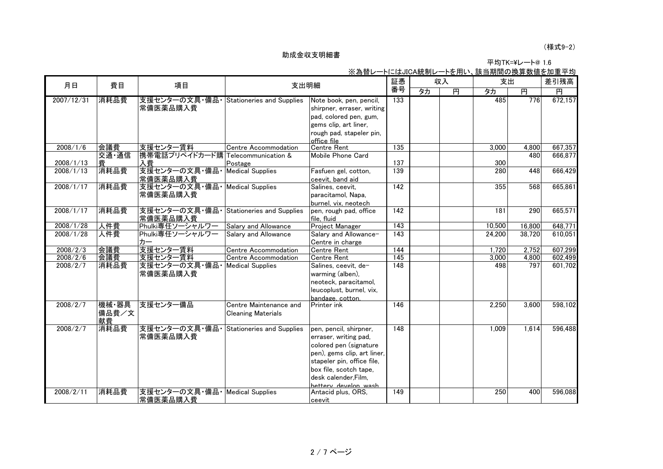#### (様式9-2)

| 平均TK=¥レート@ 1.6 |
|----------------|
|                |

|                      |             |                                        |                                  |                                            | שנייו שעויר לשגש אס ו<br>証憑 | י ישנו שי<br>収入 |                         | . 畝コ別同ソ庆井玖爬と加圭<br>支出 |                | 差引残高               |
|----------------------|-------------|----------------------------------------|----------------------------------|--------------------------------------------|-----------------------------|-----------------|-------------------------|----------------------|----------------|--------------------|
| 月日                   | 費目          | 項目                                     | 支出明細                             |                                            | 番号                          | タカ              | $\overline{\mathbf{H}}$ | タカ                   | $\overline{H}$ | 円                  |
| 2007/12/31           | 消耗品費        | 支援センターの文具・備品・Stationeries and Supplies |                                  | Note book, pen, pencil,                    | 133                         |                 |                         | 485                  | 776            | 672,157            |
|                      |             | 常備医薬品購入費                               |                                  | shirpner, erraser, writing                 |                             |                 |                         |                      |                |                    |
|                      |             |                                        |                                  | pad, colored pen, gum,                     |                             |                 |                         |                      |                |                    |
|                      |             |                                        |                                  | gems clip, art liner,                      |                             |                 |                         |                      |                |                    |
|                      |             |                                        |                                  | rough pad, stapeler pin,                   |                             |                 |                         |                      |                |                    |
|                      |             |                                        |                                  | office file                                |                             |                 |                         |                      |                |                    |
| 2008/1/6             | 会議費         | 支援センター賃料                               | Centre Accommodation             | <b>Centre Rent</b>                         | 135                         |                 |                         | 3,000                | 4,800          | 667,357            |
|                      | 交通·通信       | 携帯電話プリペイドカード購 Telecommunication &      |                                  | Mobile Phone Card                          |                             |                 |                         |                      | 480            | 666,877            |
| 2008/1/13            | 費           | 入費                                     | Postage                          |                                            | 137                         |                 |                         | 300                  |                |                    |
| 2008/1/13            | 消耗品費        | 支援センターの文具・備品                           | <b>Medical Supplies</b>          | Fasfuen gel, cotton,                       | 139                         |                 |                         | 280                  | 448            | 666,429            |
|                      |             | 常備医薬品購入費                               |                                  | ceevit, band aid                           |                             |                 |                         |                      |                |                    |
| 2008/1/17            | 消耗品費        | 支援センターの文具·備品· Medical Supplies         |                                  | Salines, ceevit,                           | $\overline{142}$            |                 |                         | 355                  | 568            | 665,861            |
|                      |             | 常備医薬品購入費                               |                                  | paracitamol, Napa,                         |                             |                 |                         |                      |                |                    |
|                      |             |                                        |                                  | burnel, vix, neotech                       |                             |                 |                         |                      |                |                    |
| 2008/1/17            | 消耗品費        | 支援センターの文具・備品・                          | <b>Stationeries and Supplies</b> | pen, rough pad, office                     | 142                         |                 |                         | 181                  | 290            | 665,571            |
|                      |             | 常備医薬品購入費                               |                                  | file, fluid                                |                             |                 |                         |                      |                |                    |
| 2008/1/28            | 人件費         | Phulki専任ソーシャルワー                        | Salary and Allowance             | Project Manager                            | 143                         |                 |                         | 10,500               | 16,800         | 648,771            |
| 2008/1/28            | 人件費         | Phulki専任ソーシャルワー                        | Salary and Allowance             | Salary and Allowance-                      | 143                         |                 |                         | 24.200               | 38.720         | 610,051            |
|                      |             | カー                                     |                                  | Centre in charge                           |                             |                 |                         |                      |                |                    |
| 2008/2/3             | 会議費         | 支援センター賃料<br>支援センター賃料                   | Centre Accommodation             | <b>Centre Rent</b>                         | 144<br>145                  |                 |                         | 1,720                | 2,752          | 607,299            |
| 2008/2/6<br>2008/2/7 | 会議費<br>消耗品費 | 支援センターの文具・備品                           | Centre Accommodation             | <b>Centre Rent</b><br>Salines, ceevit, de- | 148                         |                 |                         | 3,000<br>498         | 4,800<br>797   | 602,499<br>601,702 |
|                      |             |                                        | <b>Medical Supplies</b>          |                                            |                             |                 |                         |                      |                |                    |
|                      |             | 常備医薬品購入費                               |                                  | warming (alben),                           |                             |                 |                         |                      |                |                    |
|                      |             |                                        |                                  | neoteck, paracitamol,                      |                             |                 |                         |                      |                |                    |
|                      |             |                                        |                                  | leucoplust, burnel, vix,                   |                             |                 |                         |                      |                |                    |
| 2008/2/7             | 機械·器具       | 支援センター備品                               | Centre Maintenance and           | bandage, cotton.<br>Printer ink            | 146                         |                 |                         | 2.250                | 3.600          | 598,102            |
|                      | 備品費/文       |                                        | <b>Cleaning Materials</b>        |                                            |                             |                 |                         |                      |                |                    |
|                      | 献費          |                                        |                                  |                                            |                             |                 |                         |                      |                |                    |
| 2008/2/7             | 消耗品費        | 支援センターの文具・備品・Stationeries and Supplies |                                  | pen, pencil, shirpner,                     | 148                         |                 |                         | 1,009                | 1,614          | 596,488            |
|                      |             | 常備医薬品購入費                               |                                  | erraser, writing pad,                      |                             |                 |                         |                      |                |                    |
|                      |             |                                        |                                  | colored pen (signature                     |                             |                 |                         |                      |                |                    |
|                      |             |                                        |                                  | pen), gems clip, art liner,                |                             |                 |                         |                      |                |                    |
|                      |             |                                        |                                  | stapeler pin, office file,                 |                             |                 |                         |                      |                |                    |
|                      |             |                                        |                                  | box file, scotch tape,                     |                             |                 |                         |                      |                |                    |
|                      |             |                                        |                                  | desk calender.Film.                        |                             |                 |                         |                      |                |                    |
|                      |             |                                        |                                  | bettery develop wash                       |                             |                 |                         |                      |                |                    |
| 2008/2/11            | 消耗品費        | 支援センターの文具・備品・Medical Supplies          |                                  | Antacid plus, ORS,                         | 149                         |                 |                         | 250                  | 400            | 596,088            |
|                      |             | 常備医薬品購入費                               |                                  | ceevit                                     |                             |                 |                         |                      |                |                    |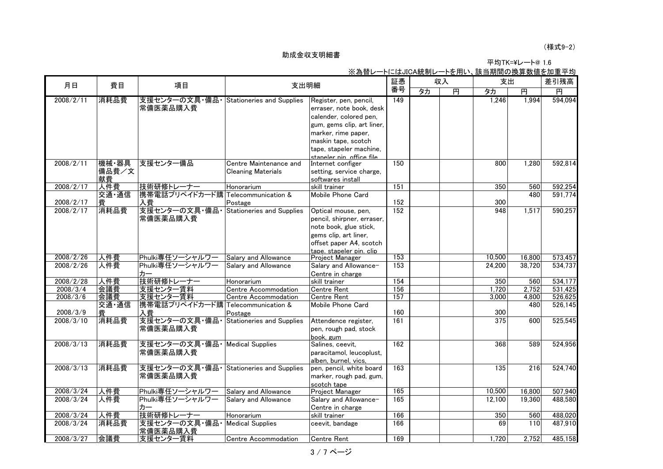# (様式9-2)

平均TK=¥レート@ 1.6

| 月日        | 費目    | 項目                                 | 支出明細                                         |                            | 証憑               | 収入 |   | 支出     |        | 差引残高    |  |
|-----------|-------|------------------------------------|----------------------------------------------|----------------------------|------------------|----|---|--------|--------|---------|--|
|           |       |                                    |                                              |                            | 番号               | 夕力 | 再 | 夕力     | 再      | 再       |  |
| 2008/2/11 | 消耗品費  | 支援センターの文具・備品・                      | <b>Stationeries and Supplies</b>             | Register, pen, pencil,     | $\overline{149}$ |    |   | 1,246  | 1,994  | 594,094 |  |
|           |       | 常備医薬品購入費                           |                                              | erraser, note book, desk   |                  |    |   |        |        |         |  |
|           |       |                                    |                                              | calender, colored pen,     |                  |    |   |        |        |         |  |
|           |       |                                    |                                              | gum, gems clip, art liner, |                  |    |   |        |        |         |  |
|           |       |                                    |                                              | marker, rime paper,        |                  |    |   |        |        |         |  |
|           |       |                                    |                                              | maskin tape, scotch        |                  |    |   |        |        |         |  |
|           |       |                                    |                                              | tape, stapeler machine,    |                  |    |   |        |        |         |  |
|           |       |                                    |                                              | staneler nin office file   |                  |    |   |        |        |         |  |
| 2008/2/11 | 機械·器具 | 支援センター備品                           | Centre Maintenance and                       | Internet configer          | 150              |    |   | 800    | 1,280  | 592,814 |  |
|           | 備品費/文 |                                    | <b>Cleaning Materials</b>                    | setting, service charge,   |                  |    |   |        |        |         |  |
|           | 献費    |                                    |                                              | softwares install          |                  |    |   |        |        |         |  |
| 2008/2/17 | 人件費   | 技術研修トレーナー                          | Honorarium                                   | skill trainer              | 151              |    |   | 350    | 560    | 592,254 |  |
|           | 交通·通信 | 携帯電話プリペイドカード購                      | Telecommunication &                          | Mobile Phone Card          |                  |    |   |        | 480    | 591,774 |  |
| 2008/2/17 | 費     | 入費                                 | Postage                                      |                            | 152              |    |   | 300    |        |         |  |
| 2008/2/17 | 消耗品費  | 支援センターの文具・備品                       | <b>Stationeries and Supplies</b>             | Optical mouse, pen,        | 152              |    |   | 948    | 1,517  | 590,257 |  |
|           |       | 常備医薬品購入費                           |                                              | pencil, shirpner, erraser, |                  |    |   |        |        |         |  |
|           |       |                                    |                                              | note book, glue stick,     |                  |    |   |        |        |         |  |
|           |       |                                    |                                              | gems clip, art liner,      |                  |    |   |        |        |         |  |
|           |       |                                    |                                              | offset paper A4, scotch    |                  |    |   |        |        |         |  |
|           |       |                                    |                                              | tape, stapeler pin, clip   |                  |    |   |        |        |         |  |
| 2008/2/26 | 人件費   | Phulki専任ソーシャルワー                    | Salary and Allowance                         | Project Manager            | 153              |    |   | 10,500 | 16,800 | 573,457 |  |
| 2008/2/26 | 人件費   | Phulki専任ソーシャルワー                    | Salary and Allowance                         | Salary and Allowance-      | 153              |    |   | 24,200 | 38,720 | 534,737 |  |
|           |       | カー                                 |                                              | Centre in charge           |                  |    |   |        |        |         |  |
| 2008/2/28 | 人件費   | 技術研修トレーナー                          | Honorarium                                   | skill trainer              | 154              |    |   | 350    | 560    | 534,177 |  |
| 2008/3/4  | 会議費   | 支援センター賃料                           | <b>Centre Accommodation</b>                  | <b>Centre Rent</b>         | 156              |    |   | 1,720  | 2,752  | 531,425 |  |
| 2008/3/6  | 会議費   | 支援センター賃料                           | Centre Accommodation                         | <b>Centre Rent</b>         | 157              |    |   | 3,000  | 4,800  | 526,625 |  |
|           | 交通·通信 | 携帯電話プリペイドカード購 Telecommunication &  |                                              | Mobile Phone Card          | 160              |    |   |        | 480    | 526,145 |  |
| 2008/3/9  | 費     | 入費                                 | Postage                                      |                            | 161              |    |   | 300    |        |         |  |
| 2008/3/10 | 消耗品費  | 支援センターの文具・備品                       | <b>Stationeries and Supplies</b>             | Attendence register,       |                  |    |   | 375    | 600    | 525,545 |  |
|           |       | 常備医薬品購入費                           |                                              | pen, rough pad, stock      |                  |    |   |        |        |         |  |
|           |       |                                    |                                              | book, gum                  |                  |    |   |        |        |         |  |
| 2008/3/13 | 消耗品費  | 支援センターの文具・備品・                      | <b>Medical Supplies</b>                      | Salines, ceevit,           | 162              |    |   | 368    | 589    | 524,956 |  |
|           |       | 常備医薬品購入費                           |                                              | paracitamol, leucoplust,   |                  |    |   |        |        |         |  |
|           | 消耗品費  | 支援センターの文具・備品                       |                                              | alben, burnel, vics,       | 163              |    |   |        |        |         |  |
| 2008/3/13 |       |                                    | <b>Stationeries and Supplies</b>             | pen, pencil, white board   |                  |    |   | 135    | 216    | 524,740 |  |
|           |       | 常備医薬品購入費                           |                                              | marker, rough pad, gum,    |                  |    |   |        |        |         |  |
| 2008/3/24 | 人件費   |                                    |                                              | scotch tape                | 165              |    |   | 10,500 | 16,800 | 507,940 |  |
| 2008/3/24 | 人件費   | Phulki専任ソーシャルワー<br>Phulki専任ソーシャルワー | Salary and Allowance<br>Salary and Allowance | Project Manager            | 165              |    |   | 12,100 | 19,360 | 488,580 |  |
|           |       | カー                                 |                                              | Salary and Allowance-      |                  |    |   |        |        |         |  |
| 2008/3/24 | 人件費   | 技術研修トレーナー                          |                                              | Centre in charge           | 166              |    |   |        |        | 488,020 |  |
| 2008/3/24 | 消耗品費  |                                    | Honorarium                                   | skill trainer              | 166              |    |   | 350    | 560    |         |  |
|           |       | 支援センターの文具・備品・<br>常備医薬品購入費          | <b>Medical Supplies</b>                      | ceevit, bandage            |                  |    |   | 69     | 110    | 487,910 |  |
| 2008/3/27 | 会議費   | 支援センター賃料                           | Centre Accommodation                         | <b>Centre Rent</b>         | 169              |    |   | 1,720  | 2,752  | 485,158 |  |

※為替レートにはJICA統制レートを用い、該当期間の換算数値を加重平均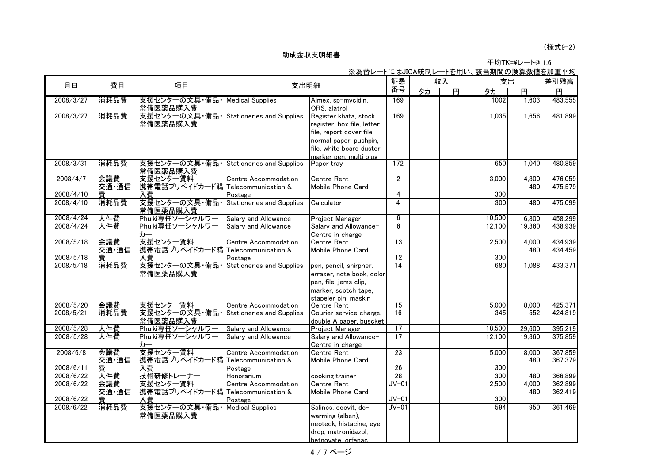平均TK=¥レート@ 1.6 ※為替レートにはJICA統制レートを用い、該当期間の換算数値を加重平均

| 月日        | 費目    | 項目                                 | 支出明細                             |                                           | 証憑                      | 収入 |                         | 支出     |        | 差引残高    |  |
|-----------|-------|------------------------------------|----------------------------------|-------------------------------------------|-------------------------|----|-------------------------|--------|--------|---------|--|
|           |       |                                    |                                  |                                           | 番号                      | 夕力 | $\overline{\mathbf{H}}$ | タカ     | 再      | 円       |  |
| 2008/3/27 | 消耗品費  | 支援センターの文具・備品・<br>常備医薬品購入費          | <b>Medical Supplies</b>          | Almex, sp-mycidin,<br>ORS, alatrol        | 169                     |    |                         | 1002   | 1,603  | 483,555 |  |
| 2008/3/27 | 消耗品費  | 支援センターの文具・備品                       | <b>Stationeries and Supplies</b> | Register khata, stock                     | 169                     |    |                         | 1,035  | 1,656  | 481,899 |  |
|           |       | 常備医薬品購入費                           |                                  | register, box file, letter                |                         |    |                         |        |        |         |  |
|           |       |                                    |                                  | file, report cover file,                  |                         |    |                         |        |        |         |  |
|           |       |                                    |                                  | normal paper, pushpin,                    |                         |    |                         |        |        |         |  |
|           |       |                                    |                                  | file, white board duster,                 |                         |    |                         |        |        |         |  |
|           |       |                                    |                                  | marker pen. multi plug                    |                         |    |                         |        |        |         |  |
| 2008/3/31 | 消耗品費  | 支援センターの文具・備品・<br>常備医薬品購入費          | <b>Stationeries and Supplies</b> | Paper tray                                | 172                     |    |                         | 650    | 1,040  | 480,859 |  |
| 2008/4/7  | 会議費   | 支援センター賃料                           | Centre Accommodation             | <b>Centre Rent</b>                        | $\overline{2}$          |    |                         | 3,000  | 4,800  | 476,059 |  |
|           | 交通·通信 | 携帯電話プリペイドカード購 Telecommunication &  |                                  | Mobile Phone Card                         |                         |    |                         |        | 480    | 475,579 |  |
| 2008/4/10 |       | 入費                                 | Postage                          |                                           | 4                       |    |                         | 300    |        |         |  |
| 2008/4/10 | 消耗品費  | 支援センターの文具・備品<br>常備医薬品購入費           | <b>Stationeries and Supplies</b> | Calculator                                | $\overline{\mathbf{4}}$ |    |                         | 300    | 480    | 475,099 |  |
| 2008/4/24 | 人件費   | Phulki専任ソーシャルワー                    | Salary and Allowance             | Project Manager                           | 6                       |    |                         | 10,500 | 16,800 | 458,299 |  |
| 2008/4/24 | 人件費   | Phulki専任ソーシャルワー                    | Salary and Allowance             | Salary and Allowance-                     | 6                       |    |                         | 12,100 | 19,360 | 438,939 |  |
|           |       | カー                                 |                                  | Centre in charge                          |                         |    |                         |        |        |         |  |
| 2008/5/18 | 会議費   | 支援センター賃料                           | <b>Centre Accommodation</b>      | <b>Centre Rent</b>                        | 13                      |    |                         | 2,500  | 4,000  | 434,939 |  |
|           | 交通·通信 | 携帯電話プリペイドカード購 Telecommunication &  |                                  | Mobile Phone Card                         |                         |    |                         |        | 480    | 434,459 |  |
| 2008/5/18 | 書     | 入費                                 | Postage                          |                                           | 12                      |    |                         | 300    |        |         |  |
| 2008/5/18 | 消耗品費  | 支援センターの文具・備品・                      | <b>Stationeries and Supplies</b> | pen, pencil, shirpner,                    | 14                      |    |                         | 680    | 1.088  | 433,371 |  |
|           |       | 常備医薬品購入費                           |                                  | erraser, note book, color                 |                         |    |                         |        |        |         |  |
|           |       |                                    |                                  | pen, file, jems clip,                     |                         |    |                         |        |        |         |  |
|           |       |                                    |                                  | marker, scotch tape,                      |                         |    |                         |        |        |         |  |
|           |       |                                    |                                  | stapeler pin, maskin                      |                         |    |                         |        |        |         |  |
| 2008/5/20 | 会議費   | 支援センター賃料                           | Centre Accommodation             | <b>Centre Rent</b>                        | 15                      |    |                         | 5,000  | 8,000  | 425,371 |  |
| 2008/5/21 | 消耗品費  | 支援センターの文具・備品                       | <b>Stationeries and Supplies</b> | Courier service charge,                   | 16                      |    |                         | 345    | 552    | 424,819 |  |
| 2008/5/28 | 人件費   | 常備医薬品購入費                           |                                  | double A paper, buscket                   | 17                      |    |                         | 18,500 |        | 395,219 |  |
| 2008/5/28 | 人件費   | Phulki専任ソーシャルワー<br>Phulki専任ソーシャルワー | Salary and Allowance             | Project Manager                           | 17                      |    |                         | 12,100 | 29,600 | 375,859 |  |
|           |       | カー                                 | Salary and Allowance             | Salary and Allowance-<br>Centre in charge |                         |    |                         |        | 19,360 |         |  |
| 2008/6/8  | 会議費   | 支援センター賃料                           | Centre Accommodation             | <b>Centre Rent</b>                        | $\overline{23}$         |    |                         | 5,000  | 8,000  | 367,859 |  |
|           | 交通·通信 | 携帯電話プリペイドカード購                      | Telecommunication &              | Mobile Phone Card                         |                         |    |                         |        | 480    | 367,379 |  |
| 2008/6/11 | 費     | 入費                                 | Postage                          |                                           | 26                      |    |                         | 300    |        |         |  |
| 2008/6/22 | 人件費   | 技術研修トレーナー                          | Honorarium                       | cooking trainer                           | 28                      |    |                         | 300    | 480    | 366,899 |  |
| 2008/6/22 | 会議費   | 支援センター賃料                           | Centre Accommodation             | <b>Centre Rent</b>                        | $JV-01$                 |    |                         | 2,500  | 4,000  | 362,899 |  |
|           | 交通・通信 | 携帯電話プリペイドカード購                      | Telecommunication &              | Mobile Phone Card                         |                         |    |                         |        | 480    | 362,419 |  |
| 2008/6/22 | 費     | 入費                                 | Postage                          |                                           | $JV-01$                 |    |                         | 300    |        |         |  |
| 2008/6/22 | 消耗品費  | 支援センターの文具・備品・                      | <b>Medical Supplies</b>          | Salines, ceevit, de-                      | $JV-01$                 |    |                         | 594    | 950    | 361,469 |  |
|           |       | 常備医薬品購入費                           |                                  | warming (alben),                          |                         |    |                         |        |        |         |  |
|           |       |                                    |                                  | neoteck, histacine, eye                   |                         |    |                         |        |        |         |  |
|           |       |                                    |                                  | drop, matronidazol,                       |                         |    |                         |        |        |         |  |
|           |       |                                    |                                  | betnovate. orfenac.                       |                         |    |                         |        |        |         |  |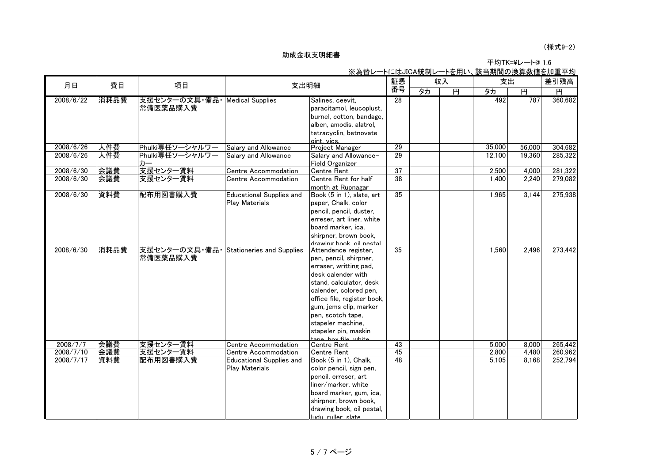#### (様式9-2)

|                                                              | 平均TK=¥レート@ 1.6 |
|--------------------------------------------------------------|----------------|
| - ※ 为麸し— レニー!ナー!IC ヘ 絊剉し— レた田!ヽ _ 誌 当 期閉 の 過 質 数 値 た 加 重 亚 灼 |                |

|           |      |                                 |                                  |                                                   | <u> 公祠日レ 「1-16010A机制レ 「2用い、改当新闻VンI夹并数値2加主十功</u><br>証憑<br>収入 |    | 支出 |        | 差引残高   |         |
|-----------|------|---------------------------------|----------------------------------|---------------------------------------------------|-------------------------------------------------------------|----|----|--------|--------|---------|
| 月日        | 費目   | 項目                              | 支出明細                             |                                                   | 番号                                                          | タカ | 再  | タカ     | 再      | 円       |
| 2008/6/22 | 消耗品費 | 支援センターの文具・備品   Medical Supplies |                                  | Salines, ceevit,                                  | 28                                                          |    |    | 492    | 787    | 360,682 |
|           |      | 常備医薬品購入費                        |                                  | paracitamol, leucoplust,                          |                                                             |    |    |        |        |         |
|           |      |                                 |                                  | burnel, cotton, bandage,                          |                                                             |    |    |        |        |         |
|           |      |                                 |                                  |                                                   |                                                             |    |    |        |        |         |
|           |      |                                 |                                  | alben, amodis, alatrol,<br>tetracyclin, betnovate |                                                             |    |    |        |        |         |
|           |      |                                 |                                  | oint. vics.                                       |                                                             |    |    |        |        |         |
| 2008/6/26 | 人件費  | Phulki専任ソーシャルワー                 | Salary and Allowance             | Project Manager                                   | $\overline{29}$                                             |    |    | 35,000 | 56,000 | 304,682 |
| 2008/6/26 | 人件費  | Phulki専任ソーシャルワー                 | Salary and Allowance             | Salary and Allowance-                             | 29                                                          |    |    | 12,100 | 19,360 | 285,322 |
|           |      | カー                              |                                  | <b>Field Organizer</b>                            |                                                             |    |    |        |        |         |
| 2008/6/30 | 会議費  | 支援センター賃料                        | Centre Accommodation             | <b>Centre Rent</b>                                | $\overline{37}$                                             |    |    | 2,500  | 4,000  | 281,322 |
| 2008/6/30 | 会議費  | 支援センター賃料                        | Centre Accommodation             | Centre Rent for half                              | 38                                                          |    |    | 1.400  | 2,240  | 279,082 |
|           |      |                                 |                                  | month at Rupnagar                                 |                                                             |    |    |        |        |         |
| 2008/6/30 | 資料費  | 配布用図書購入費                        | <b>Educational Supplies and</b>  | Book (5 in 1), slate, art                         | 35                                                          |    |    | 1.965  | 3,144  | 275,938 |
|           |      |                                 | Play Materials                   | paper, Chalk, color                               |                                                             |    |    |        |        |         |
|           |      |                                 |                                  | pencil, pencil, duster,                           |                                                             |    |    |        |        |         |
|           |      |                                 |                                  | erreser, art liner, white                         |                                                             |    |    |        |        |         |
|           |      |                                 |                                  | board marker, ica.                                |                                                             |    |    |        |        |         |
|           |      |                                 |                                  | shirpner, brown book,                             |                                                             |    |    |        |        |         |
|           |      |                                 |                                  | drawing book oil pestal                           |                                                             |    |    |        |        |         |
| 2008/6/30 | 消耗品費 | 支援センターの文具・備品・                   | <b>Stationeries and Supplies</b> | Attendence register,                              | 35                                                          |    |    | 1,560  | 2,496  | 273,442 |
|           |      | 常備医薬品購入費                        |                                  | pen, pencil, shirpner,                            |                                                             |    |    |        |        |         |
|           |      |                                 |                                  | erraser, writting pad,                            |                                                             |    |    |        |        |         |
|           |      |                                 |                                  | desk calender with                                |                                                             |    |    |        |        |         |
|           |      |                                 |                                  | stand, calculator, desk                           |                                                             |    |    |        |        |         |
|           |      |                                 |                                  | calender, colored pen,                            |                                                             |    |    |        |        |         |
|           |      |                                 |                                  | office file, register book,                       |                                                             |    |    |        |        |         |
|           |      |                                 |                                  | gum, jems clip, marker                            |                                                             |    |    |        |        |         |
|           |      |                                 |                                  | pen, scotch tape,                                 |                                                             |    |    |        |        |         |
|           |      |                                 |                                  | stapeler machine,                                 |                                                             |    |    |        |        |         |
|           |      |                                 |                                  | stapeler pin, maskin                              |                                                             |    |    |        |        |         |
|           |      |                                 |                                  | tana hay fila white                               |                                                             |    |    |        |        |         |
| 2008/7/7  | 会議費  | 支援センター賃料                        | Centre Accommodation             | <b>Centre Rent</b>                                | 43                                                          |    |    | 5,000  | 8,000  | 265,442 |
| 2008/7/10 | 会議費  | 支援センター賃料                        | Centre Accommodation             | <b>Centre Rent</b>                                | 45                                                          |    |    | 2,800  | 4,480  | 260,962 |
| 2008/7/17 | 資料費  | 配布用図書購入費                        | Educational Supplies and         | Book (5 in 1), Chalk,                             | 48                                                          |    |    | 5.105  | 8.168  | 252,794 |
|           |      |                                 | Play Materials                   | color pencil, sign pen,                           |                                                             |    |    |        |        |         |
|           |      |                                 |                                  | pencil, erreser, art                              |                                                             |    |    |        |        |         |
|           |      |                                 |                                  | liner/marker, white                               |                                                             |    |    |        |        |         |
|           |      |                                 |                                  | board marker, gum, ica,                           |                                                             |    |    |        |        |         |
|           |      |                                 |                                  | shirpner, brown book,                             |                                                             |    |    |        |        |         |
|           |      |                                 |                                  | drawing book, oil pestal,                         |                                                             |    |    |        |        |         |
|           |      |                                 |                                  | ludu ruller slate                                 |                                                             |    |    |        |        |         |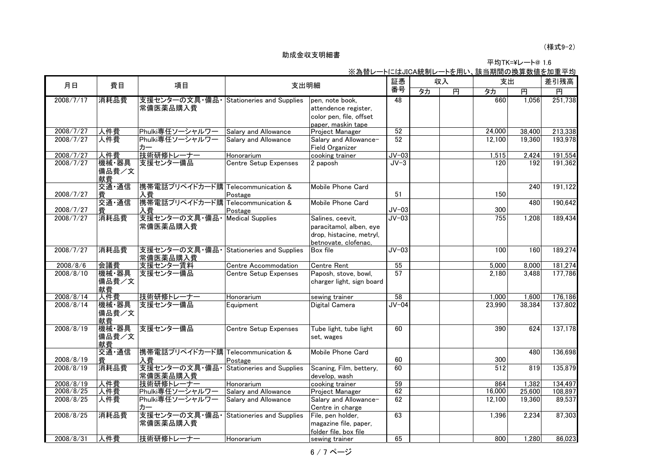1.6 平均TK=¥レート@

|           |                      |                                         |                                  | <u>※為替レートにはJICA統制レートを用い、該当期間の換算数値を加重平均</u>                                                      |         |    |   |        |        |         |
|-----------|----------------------|-----------------------------------------|----------------------------------|-------------------------------------------------------------------------------------------------|---------|----|---|--------|--------|---------|
| 月日        | 費目                   | 項目                                      | 支出明細                             |                                                                                                 | 証憑      | 収入 |   | 支出     |        | 差引残高    |
|           |                      |                                         |                                  |                                                                                                 | 番号      | タカ | 再 | 夕力     | 再      | 再       |
| 2008/7/17 | 消耗品費                 | 支援センターの文具・備品・<br>常備医薬品購入費               | <b>Stationeries and Supplies</b> | pen, note book,<br>attendence register,<br>color pen, file, offset<br>paper, maskin tape        | 48      |    |   | 660    | 1,056  | 251,738 |
| 2008/7/27 | 人件費                  | Phulki専任ソーシャルワー                         | Salary and Allowance             | Project Manager                                                                                 | 52      |    |   | 24,000 | 38.400 | 213,338 |
| 2008/7/27 | 人件費                  | Phulki専任ソーシャルワー<br>カー                   | Salary and Allowance             | Salary and Allowance-<br><b>Field Organizer</b>                                                 | 52      |    |   | 12,100 | 19,360 | 193,978 |
| 2008/7/27 | 人件費                  | 技術研修トレーナー                               | Honorarium                       | cooking trainer                                                                                 | $JV-03$ |    |   | 1,515  | 2,424  | 191,554 |
| 2008/7/27 | 機械·器具<br>備品費/文<br>献費 | 支援センター備品                                | Centre Setup Expenses            | 2 paposh                                                                                        | $JV-3$  |    |   | 120    | 192    | 191,362 |
| 2008/7/27 | 交通·通信<br>費           | 携帯電話プリペイドカード購 Telecommunication &<br>入費 | Postage                          | Mobile Phone Card                                                                               | 51      |    |   | 150    | 240    | 191,122 |
| 2008/7/27 | 交通·通信<br>費           | 携帯電話プリペイドカード購 Telecommunication &<br>入費 | Postage                          | Mobile Phone Card                                                                               | $JV-03$ |    |   | 300    | 480    | 190,642 |
| 2008/7/27 | 消耗品費                 | 支援センターの文具・備品・<br>常備医薬品購入費               | <b>Medical Supplies</b>          | Salines, ceevit,<br>paracitamol, alben, eye<br>drop, histacine, metryl,<br>betnovate. clofenac. | $JV-03$ |    |   | 755    | 1,208  | 189,434 |
| 2008/7/27 | 消耗品費                 | 支援センターの文具・備品<br>常備医薬品購入費                | <b>Stationeries and Supplies</b> | Box file                                                                                        | $JV-03$ |    |   | 100    | 160    | 189,274 |
| 2008/8/6  | 会議費                  | 支援センター賃料                                | Centre Accommodation             | <b>Centre Rent</b>                                                                              | 55      |    |   | 5,000  | 8,000  | 181,274 |
| 2008/8/10 | 機械·器具<br>備品費/文<br>献費 | 支援センター備品                                | <b>Centre Setup Expenses</b>     | Paposh, stove, bowl,<br>charger light, sign board                                               | 57      |    |   | 2.180  | 3,488  | 177,786 |
| 2008/8/14 | 人件費                  | 技術研修トレーナー                               | Honorarium                       | sewing trainer                                                                                  | 58      |    |   | 1,000  | 1,600  | 176,186 |
| 2008/8/14 | 機械·器具<br>備品費/文<br>献費 | 支援センター備品                                | Equipment                        | Digital Camera                                                                                  | $JV-04$ |    |   | 23,990 | 38,384 | 137,802 |
| 2008/8/19 | 機械·器具<br>備品費/文<br>献費 | 支援センター備品                                | <b>Centre Setup Expenses</b>     | Tube light, tube light<br>set, wages                                                            | 60      |    |   | 390    | 624    | 137,178 |
| 2008/8/19 | 交通·通信<br>費           | 携帯電話プリペイドカード購 Telecommunication &<br>入費 | Postage                          | Mobile Phone Card                                                                               | 60      |    |   | 300    | 480    | 136,698 |
| 2008/8/19 | 消耗品費                 | 支援センターの文具・備品・<br>常備医薬品購入費               | <b>Stationeries and Supplies</b> | Scaning, Film, bettery,<br>develop, wash                                                        | 60      |    |   | 512    | 819    | 135,879 |
| 2008/8/19 | 人件費                  | 技術研修トレーナー                               | Honorarium                       | cooking trainer                                                                                 | 59      |    |   | 864    | 1,382  | 134,497 |
| 2008/8/25 | 人件費                  | Phulki専任ソーシャルワー                         | Salary and Allowance             | Project Manager                                                                                 | 62      |    |   | 16,000 | 25,600 | 108,897 |
| 2008/8/25 | 人件費                  | Phulki専任ソーシャルワー<br>カー                   | Salary and Allowance             | Salary and Allowance-<br>Centre in charge                                                       | 62      |    |   | 12,100 | 19,360 | 89,537  |
| 2008/8/25 | 消耗品費                 | 支援センターの文具・備品・<br>常備医薬品購入費               | Stationeries and Supplies        | File, pen holder,<br>magazine file, paper,<br>folder file, box file                             | 63      |    |   | 1,396  | 2,234  | 87,303  |
| 2008/8/31 | 人件費                  | 技術研修トレーナー                               | Honorarium                       | sewing trainer                                                                                  | 65      |    |   | 800    | 1,280  | 86,023  |